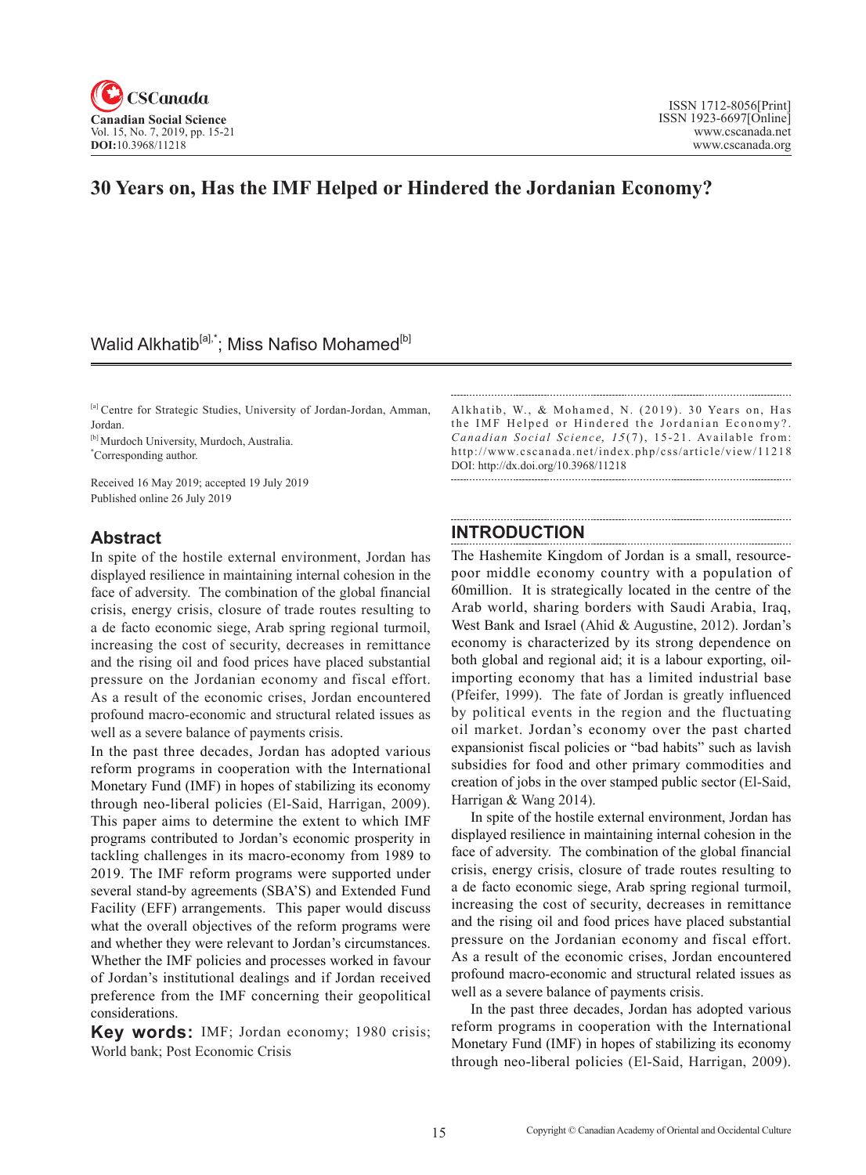

# **30 Years on, Has the IMF Helped or Hindered the Jordanian Economy?**

## Walid Alkhatib<sup>[a],\*</sup>; Miss Nafiso Mohamed<sup>[b]</sup>

[a] Centre for Strategic Studies, University of Jordan-Jordan, Amman, Jordan.

[b] Murdoch University, Murdoch, Australia. \* Corresponding author.

Received 16 May 2019; accepted 19 July 2019 Published online 26 July 2019

## **Abstract**

In spite of the hostile external environment, Jordan has displayed resilience in maintaining internal cohesion in the face of adversity. The combination of the global financial crisis, energy crisis, closure of trade routes resulting to a de facto economic siege, Arab spring regional turmoil, increasing the cost of security, decreases in remittance and the rising oil and food prices have placed substantial pressure on the Jordanian economy and fiscal effort. As a result of the economic crises, Jordan encountered profound macro-economic and structural related issues as well as a severe balance of payments crisis.

In the past three decades, Jordan has adopted various reform programs in cooperation with the International Monetary Fund (IMF) in hopes of stabilizing its economy through neo-liberal policies (El-Said, Harrigan, 2009). This paper aims to determine the extent to which IMF programs contributed to Jordan's economic prosperity in tackling challenges in its macro-economy from 1989 to 2019. The IMF reform programs were supported under several stand-by agreements (SBA'S) and Extended Fund Facility (EFF) arrangements. This paper would discuss what the overall objectives of the reform programs were and whether they were relevant to Jordan's circumstances. Whether the IMF policies and processes worked in favour of Jordan's institutional dealings and if Jordan received preference from the IMF concerning their geopolitical considerations.

**Key words:** IMF; Jordan economy; 1980 crisis; World bank; Post Economic Crisis

Alkhatib, W., & Mohamed, N. (2019). 30 Years on, Has the IMF Helped or Hindered the Jordanian Economy?. *Canadian Social Science, 15(7), 15-21.* Available from: http://www.cscanada.net/index.php/css/article/view/11218 DOI: http://dx.doi.org/10.3968/11218

## **INTRODUCTION**

The Hashemite Kingdom of Jordan is a small, resourcepoor middle economy country with a population of 60million. It is strategically located in the centre of the Arab world, sharing borders with Saudi Arabia, Iraq, West Bank and Israel (Ahid & Augustine, 2012). Jordan's economy is characterized by its strong dependence on both global and regional aid; it is a labour exporting, oilimporting economy that has a limited industrial base (Pfeifer, 1999). The fate of Jordan is greatly influenced by political events in the region and the fluctuating oil market. Jordan's economy over the past charted expansionist fiscal policies or "bad habits" such as lavish subsidies for food and other primary commodities and creation of jobs in the over stamped public sector (El-Said, Harrigan & Wang 2014).

In spite of the hostile external environment, Jordan has displayed resilience in maintaining internal cohesion in the face of adversity. The combination of the global financial crisis, energy crisis, closure of trade routes resulting to a de facto economic siege, Arab spring regional turmoil, increasing the cost of security, decreases in remittance and the rising oil and food prices have placed substantial pressure on the Jordanian economy and fiscal effort. As a result of the economic crises, Jordan encountered profound macro-economic and structural related issues as well as a severe balance of payments crisis.

In the past three decades, Jordan has adopted various reform programs in cooperation with the International Monetary Fund (IMF) in hopes of stabilizing its economy through neo-liberal policies (El-Said, Harrigan, 2009).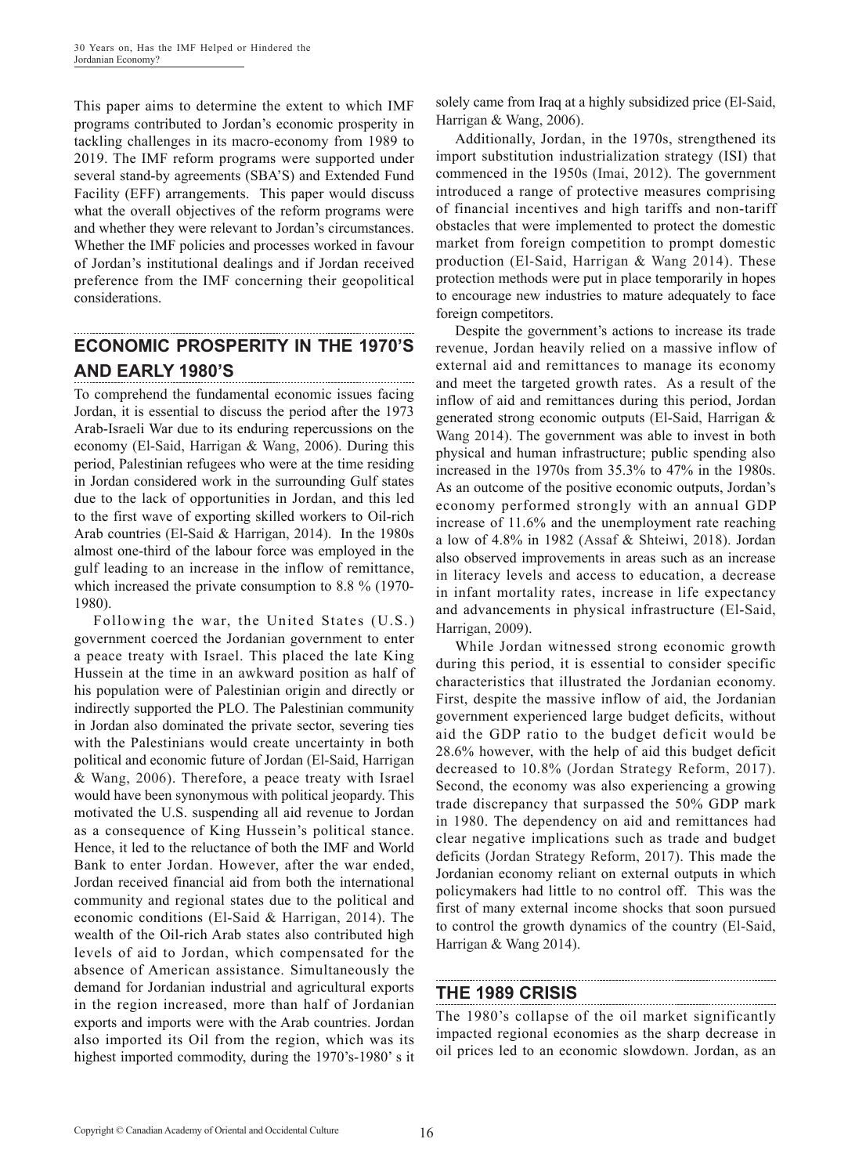This paper aims to determine the extent to which IMF programs contributed to Jordan's economic prosperity in tackling challenges in its macro-economy from 1989 to 2019. The IMF reform programs were supported under several stand-by agreements (SBA'S) and Extended Fund Facility (EFF) arrangements. This paper would discuss what the overall objectives of the reform programs were and whether they were relevant to Jordan's circumstances. Whether the IMF policies and processes worked in favour of Jordan's institutional dealings and if Jordan received preference from the IMF concerning their geopolitical considerations.

#### **ECONOMIC PROSPERITY IN THE 1970'S AND EARLY 1980'S**

To comprehend the fundamental economic issues facing Jordan, it is essential to discuss the period after the 1973 Arab-Israeli War due to its enduring repercussions on the economy (El-Said, Harrigan & Wang, 2006). During this period, Palestinian refugees who were at the time residing in Jordan considered work in the surrounding Gulf states due to the lack of opportunities in Jordan, and this led to the first wave of exporting skilled workers to Oil-rich Arab countries (El-Said & Harrigan, 2014). In the 1980s almost one-third of the labour force was employed in the gulf leading to an increase in the inflow of remittance, which increased the private consumption to 8.8 % (1970- 1980).

Following the war, the United States (U.S.) government coerced the Jordanian government to enter a peace treaty with Israel. This placed the late King Hussein at the time in an awkward position as half of his population were of Palestinian origin and directly or indirectly supported the PLO. The Palestinian community in Jordan also dominated the private sector, severing ties with the Palestinians would create uncertainty in both political and economic future of Jordan (El-Said, Harrigan & Wang, 2006). Therefore, a peace treaty with Israel would have been synonymous with political jeopardy. This motivated the U.S. suspending all aid revenue to Jordan as a consequence of King Hussein's political stance. Hence, it led to the reluctance of both the IMF and World Bank to enter Jordan. However, after the war ended, Jordan received financial aid from both the international community and regional states due to the political and economic conditions (El-Said & Harrigan, 2014). The wealth of the Oil-rich Arab states also contributed high levels of aid to Jordan, which compensated for the absence of American assistance. Simultaneously the demand for Jordanian industrial and agricultural exports in the region increased, more than half of Jordanian exports and imports were with the Arab countries. Jordan also imported its Oil from the region, which was its highest imported commodity, during the 1970's-1980' s it solely came from Iraq at a highly subsidized price (El-Said, Harrigan & Wang, 2006).

Additionally, Jordan, in the 1970s, strengthened its import substitution industrialization strategy (ISI) that commenced in the 1950s (Imai, 2012). The government introduced a range of protective measures comprising of financial incentives and high tariffs and non-tariff obstacles that were implemented to protect the domestic market from foreign competition to prompt domestic production (El-Said, Harrigan & Wang 2014). These protection methods were put in place temporarily in hopes to encourage new industries to mature adequately to face foreign competitors.

Despite the government's actions to increase its trade revenue, Jordan heavily relied on a massive inflow of external aid and remittances to manage its economy and meet the targeted growth rates. As a result of the inflow of aid and remittances during this period, Jordan generated strong economic outputs (El-Said, Harrigan & Wang 2014). The government was able to invest in both physical and human infrastructure; public spending also increased in the 1970s from 35.3% to 47% in the 1980s. As an outcome of the positive economic outputs, Jordan's economy performed strongly with an annual GDP increase of 11.6% and the unemployment rate reaching a low of 4.8% in 1982 (Assaf & Shteiwi, 2018). Jordan also observed improvements in areas such as an increase in literacy levels and access to education, a decrease in infant mortality rates, increase in life expectancy and advancements in physical infrastructure (El-Said, Harrigan, 2009).

While Jordan witnessed strong economic growth during this period, it is essential to consider specific characteristics that illustrated the Jordanian economy. First, despite the massive inflow of aid, the Jordanian government experienced large budget deficits, without aid the GDP ratio to the budget deficit would be 28.6% however, with the help of aid this budget deficit decreased to 10.8% (Jordan Strategy Reform, 2017). Second, the economy was also experiencing a growing trade discrepancy that surpassed the 50% GDP mark in 1980. The dependency on aid and remittances had clear negative implications such as trade and budget deficits (Jordan Strategy Reform, 2017). This made the Jordanian economy reliant on external outputs in which policymakers had little to no control off. This was the first of many external income shocks that soon pursued to control the growth dynamics of the country (El-Said, Harrigan & Wang 2014).

### **THE 1989 CRISIS**

The 1980's collapse of the oil market significantly impacted regional economies as the sharp decrease in oil prices led to an economic slowdown. Jordan, as an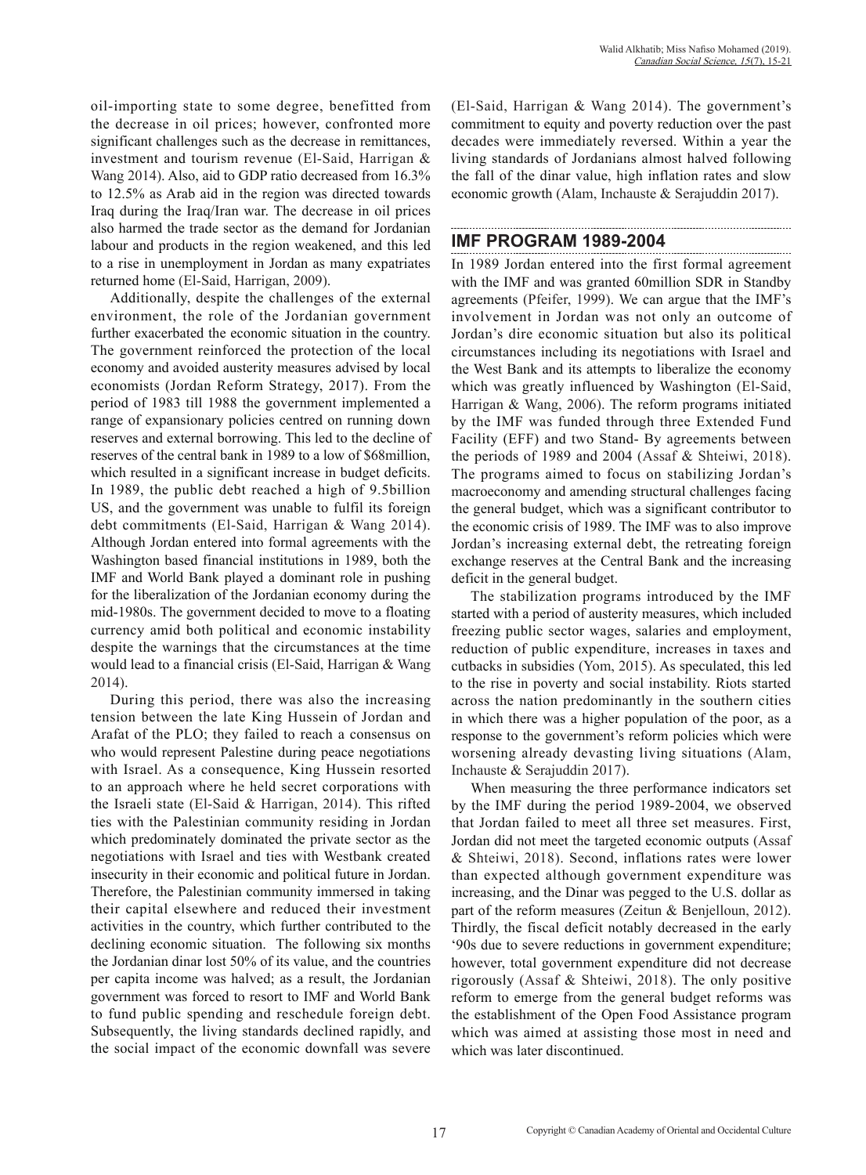oil-importing state to some degree, benefitted from the decrease in oil prices; however, confronted more significant challenges such as the decrease in remittances, investment and tourism revenue (El-Said, Harrigan & Wang 2014). Also, aid to GDP ratio decreased from 16.3% to 12.5% as Arab aid in the region was directed towards Iraq during the Iraq/Iran war. The decrease in oil prices also harmed the trade sector as the demand for Jordanian labour and products in the region weakened, and this led to a rise in unemployment in Jordan as many expatriates returned home (El-Said, Harrigan, 2009).

Additionally, despite the challenges of the external environment, the role of the Jordanian government further exacerbated the economic situation in the country. The government reinforced the protection of the local economy and avoided austerity measures advised by local economists (Jordan Reform Strategy, 2017). From the period of 1983 till 1988 the government implemented a range of expansionary policies centred on running down reserves and external borrowing. This led to the decline of reserves of the central bank in 1989 to a low of \$68million, which resulted in a significant increase in budget deficits. In 1989, the public debt reached a high of 9.5billion US, and the government was unable to fulfil its foreign debt commitments (El-Said, Harrigan & Wang 2014). Although Jordan entered into formal agreements with the Washington based financial institutions in 1989, both the IMF and World Bank played a dominant role in pushing for the liberalization of the Jordanian economy during the mid-1980s. The government decided to move to a floating currency amid both political and economic instability despite the warnings that the circumstances at the time would lead to a financial crisis (El-Said, Harrigan & Wang 2014).

During this period, there was also the increasing tension between the late King Hussein of Jordan and Arafat of the PLO; they failed to reach a consensus on who would represent Palestine during peace negotiations with Israel. As a consequence, King Hussein resorted to an approach where he held secret corporations with the Israeli state (El-Said & Harrigan, 2014). This rifted ties with the Palestinian community residing in Jordan which predominately dominated the private sector as the negotiations with Israel and ties with Westbank created insecurity in their economic and political future in Jordan. Therefore, the Palestinian community immersed in taking their capital elsewhere and reduced their investment activities in the country, which further contributed to the declining economic situation. The following six months the Jordanian dinar lost 50% of its value, and the countries per capita income was halved; as a result, the Jordanian government was forced to resort to IMF and World Bank to fund public spending and reschedule foreign debt. Subsequently, the living standards declined rapidly, and the social impact of the economic downfall was severe (El-Said, Harrigan & Wang 2014). The government's commitment to equity and poverty reduction over the past decades were immediately reversed. Within a year the living standards of Jordanians almost halved following the fall of the dinar value, high inflation rates and slow economic growth (Alam, Inchauste & Serajuddin 2017).

#### **IMF PROGRAM 1989-2004**

In 1989 Jordan entered into the first formal agreement with the IMF and was granted 60million SDR in Standby agreements (Pfeifer, 1999). We can argue that the IMF's involvement in Jordan was not only an outcome of Jordan's dire economic situation but also its political circumstances including its negotiations with Israel and the West Bank and its attempts to liberalize the economy which was greatly influenced by Washington (El-Said, Harrigan & Wang, 2006). The reform programs initiated by the IMF was funded through three Extended Fund Facility (EFF) and two Stand- By agreements between the periods of 1989 and 2004 (Assaf & Shteiwi, 2018). The programs aimed to focus on stabilizing Jordan's macroeconomy and amending structural challenges facing the general budget, which was a significant contributor to the economic crisis of 1989. The IMF was to also improve Jordan's increasing external debt, the retreating foreign exchange reserves at the Central Bank and the increasing deficit in the general budget.

The stabilization programs introduced by the IMF started with a period of austerity measures, which included freezing public sector wages, salaries and employment, reduction of public expenditure, increases in taxes and cutbacks in subsidies (Yom, 2015). As speculated, this led to the rise in poverty and social instability. Riots started across the nation predominantly in the southern cities in which there was a higher population of the poor, as a response to the government's reform policies which were worsening already devasting living situations (Alam, Inchauste & Serajuddin 2017).

When measuring the three performance indicators set by the IMF during the period 1989-2004, we observed that Jordan failed to meet all three set measures. First, Jordan did not meet the targeted economic outputs (Assaf & Shteiwi, 2018). Second, inflations rates were lower than expected although government expenditure was increasing, and the Dinar was pegged to the U.S. dollar as part of the reform measures (Zeitun & Benjelloun, 2012). Thirdly, the fiscal deficit notably decreased in the early '90s due to severe reductions in government expenditure; however, total government expenditure did not decrease rigorously (Assaf & Shteiwi, 2018). The only positive reform to emerge from the general budget reforms was the establishment of the Open Food Assistance program which was aimed at assisting those most in need and which was later discontinued.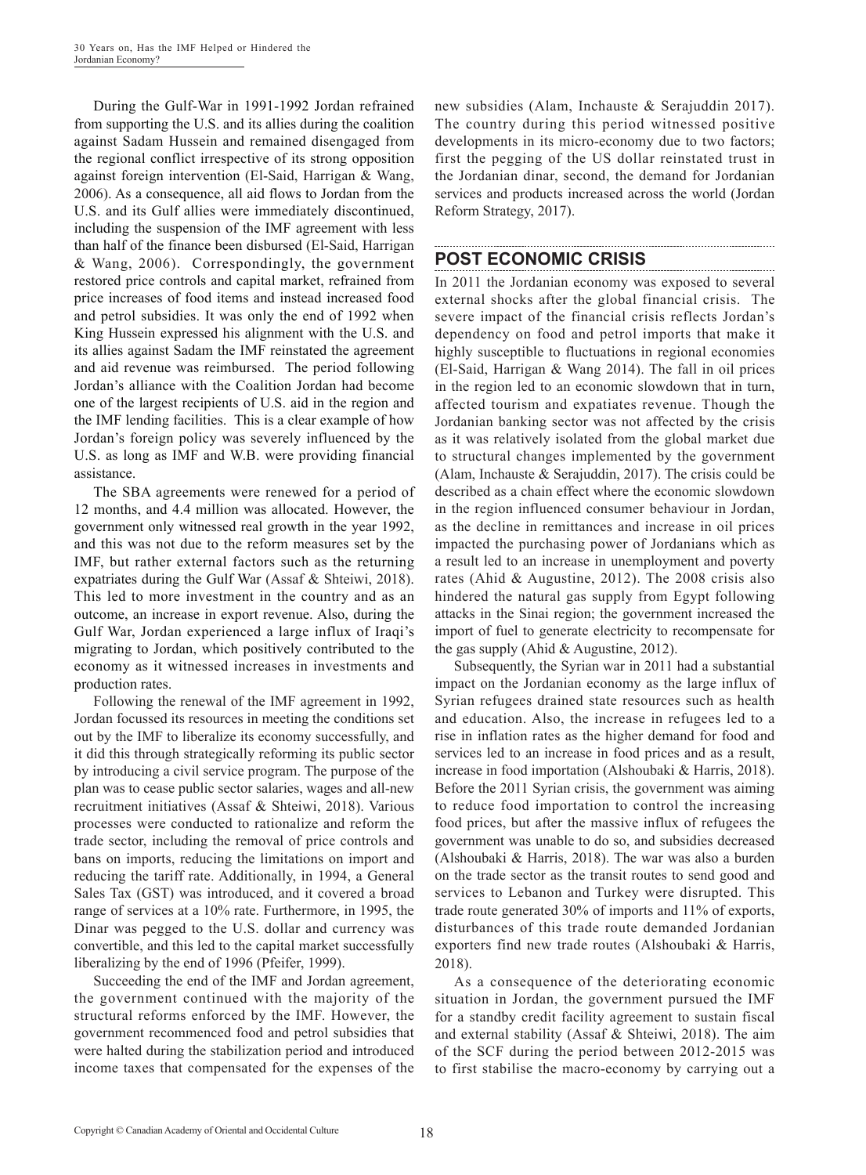During the Gulf-War in 1991-1992 Jordan refrained from supporting the U.S. and its allies during the coalition against Sadam Hussein and remained disengaged from the regional conflict irrespective of its strong opposition against foreign intervention (El-Said, Harrigan & Wang, 2006). As a consequence, all aid flows to Jordan from the U.S. and its Gulf allies were immediately discontinued, including the suspension of the IMF agreement with less than half of the finance been disbursed (El-Said, Harrigan & Wang, 2006). Correspondingly, the government restored price controls and capital market, refrained from price increases of food items and instead increased food and petrol subsidies. It was only the end of 1992 when King Hussein expressed his alignment with the U.S. and its allies against Sadam the IMF reinstated the agreement and aid revenue was reimbursed. The period following Jordan's alliance with the Coalition Jordan had become one of the largest recipients of U.S. aid in the region and the IMF lending facilities. This is a clear example of how Jordan's foreign policy was severely influenced by the U.S. as long as IMF and W.B. were providing financial assistance.

The SBA agreements were renewed for a period of 12 months, and 4.4 million was allocated. However, the government only witnessed real growth in the year 1992, and this was not due to the reform measures set by the IMF, but rather external factors such as the returning expatriates during the Gulf War (Assaf & Shteiwi, 2018). This led to more investment in the country and as an outcome, an increase in export revenue. Also, during the Gulf War, Jordan experienced a large influx of Iraqi's migrating to Jordan, which positively contributed to the economy as it witnessed increases in investments and production rates.

Following the renewal of the IMF agreement in 1992, Jordan focussed its resources in meeting the conditions set out by the IMF to liberalize its economy successfully, and it did this through strategically reforming its public sector by introducing a civil service program. The purpose of the plan was to cease public sector salaries, wages and all-new recruitment initiatives (Assaf & Shteiwi, 2018). Various processes were conducted to rationalize and reform the trade sector, including the removal of price controls and bans on imports, reducing the limitations on import and reducing the tariff rate. Additionally, in 1994, a General Sales Tax (GST) was introduced, and it covered a broad range of services at a 10% rate. Furthermore, in 1995, the Dinar was pegged to the U.S. dollar and currency was convertible, and this led to the capital market successfully liberalizing by the end of 1996 (Pfeifer, 1999).

Succeeding the end of the IMF and Jordan agreement, the government continued with the majority of the structural reforms enforced by the IMF. However, the government recommenced food and petrol subsidies that were halted during the stabilization period and introduced income taxes that compensated for the expenses of the new subsidies (Alam, Inchauste & Serajuddin 2017). The country during this period witnessed positive developments in its micro-economy due to two factors; first the pegging of the US dollar reinstated trust in the Jordanian dinar, second, the demand for Jordanian services and products increased across the world (Jordan Reform Strategy, 2017).

### **POST ECONOMIC CRISIS**

In 2011 the Jordanian economy was exposed to several external shocks after the global financial crisis. The severe impact of the financial crisis reflects Jordan's dependency on food and petrol imports that make it highly susceptible to fluctuations in regional economies (El-Said, Harrigan & Wang 2014). The fall in oil prices in the region led to an economic slowdown that in turn, affected tourism and expatiates revenue. Though the Jordanian banking sector was not affected by the crisis as it was relatively isolated from the global market due to structural changes implemented by the government (Alam, Inchauste & Serajuddin, 2017). The crisis could be described as a chain effect where the economic slowdown in the region influenced consumer behaviour in Jordan, as the decline in remittances and increase in oil prices impacted the purchasing power of Jordanians which as a result led to an increase in unemployment and poverty rates (Ahid & Augustine, 2012). The 2008 crisis also hindered the natural gas supply from Egypt following attacks in the Sinai region; the government increased the import of fuel to generate electricity to recompensate for the gas supply (Ahid & Augustine, 2012).

Subsequently, the Syrian war in 2011 had a substantial impact on the Jordanian economy as the large influx of Syrian refugees drained state resources such as health and education. Also, the increase in refugees led to a rise in inflation rates as the higher demand for food and services led to an increase in food prices and as a result, increase in food importation (Alshoubaki & Harris, 2018). Before the 2011 Syrian crisis, the government was aiming to reduce food importation to control the increasing food prices, but after the massive influx of refugees the government was unable to do so, and subsidies decreased (Alshoubaki & Harris, 2018). The war was also a burden on the trade sector as the transit routes to send good and services to Lebanon and Turkey were disrupted. This trade route generated 30% of imports and 11% of exports, disturbances of this trade route demanded Jordanian exporters find new trade routes (Alshoubaki & Harris, 2018).

As a consequence of the deteriorating economic situation in Jordan, the government pursued the IMF for a standby credit facility agreement to sustain fiscal and external stability (Assaf & Shteiwi, 2018). The aim of the SCF during the period between 2012-2015 was to first stabilise the macro-economy by carrying out a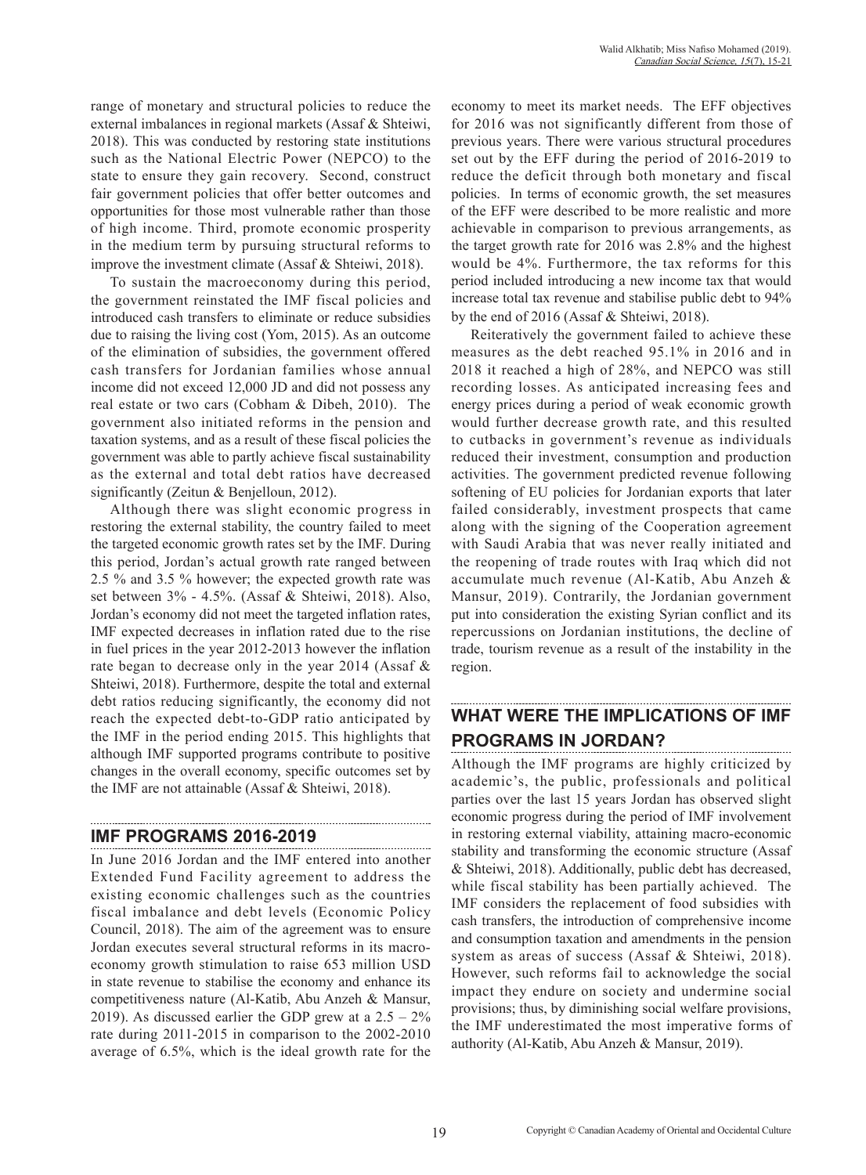range of monetary and structural policies to reduce the external imbalances in regional markets (Assaf & Shteiwi, 2018). This was conducted by restoring state institutions such as the National Electric Power (NEPCO) to the state to ensure they gain recovery. Second, construct fair government policies that offer better outcomes and opportunities for those most vulnerable rather than those of high income. Third, promote economic prosperity in the medium term by pursuing structural reforms to improve the investment climate (Assaf & Shteiwi, 2018).

To sustain the macroeconomy during this period, the government reinstated the IMF fiscal policies and introduced cash transfers to eliminate or reduce subsidies due to raising the living cost (Yom, 2015). As an outcome of the elimination of subsidies, the government offered cash transfers for Jordanian families whose annual income did not exceed 12,000 JD and did not possess any real estate or two cars (Cobham & Dibeh, 2010). The government also initiated reforms in the pension and taxation systems, and as a result of these fiscal policies the government was able to partly achieve fiscal sustainability as the external and total debt ratios have decreased significantly (Zeitun & Benjelloun, 2012).

Although there was slight economic progress in restoring the external stability, the country failed to meet the targeted economic growth rates set by the IMF. During this period, Jordan's actual growth rate ranged between 2.5 % and 3.5 % however; the expected growth rate was set between 3% - 4.5%. (Assaf & Shteiwi, 2018). Also, Jordan's economy did not meet the targeted inflation rates, IMF expected decreases in inflation rated due to the rise in fuel prices in the year 2012-2013 however the inflation rate began to decrease only in the year 2014 (Assaf & Shteiwi, 2018). Furthermore, despite the total and external debt ratios reducing significantly, the economy did not reach the expected debt-to-GDP ratio anticipated by the IMF in the period ending 2015. This highlights that although IMF supported programs contribute to positive changes in the overall economy, specific outcomes set by the IMF are not attainable (Assaf & Shteiwi, 2018).

#### **IMF PROGRAMS 2016-2019**

In June 2016 Jordan and the IMF entered into another Extended Fund Facility agreement to address the existing economic challenges such as the countries fiscal imbalance and debt levels (Economic Policy Council, 2018). The aim of the agreement was to ensure Jordan executes several structural reforms in its macroeconomy growth stimulation to raise 653 million USD in state revenue to stabilise the economy and enhance its competitiveness nature (Al-Katib, Abu Anzeh & Mansur, 2019). As discussed earlier the GDP grew at a  $2.5 - 2\%$ rate during 2011-2015 in comparison to the 2002-2010 average of 6.5%, which is the ideal growth rate for the economy to meet its market needs. The EFF objectives for 2016 was not significantly different from those of previous years. There were various structural procedures set out by the EFF during the period of 2016-2019 to reduce the deficit through both monetary and fiscal policies. In terms of economic growth, the set measures of the EFF were described to be more realistic and more achievable in comparison to previous arrangements, as the target growth rate for 2016 was 2.8% and the highest would be 4%. Furthermore, the tax reforms for this period included introducing a new income tax that would increase total tax revenue and stabilise public debt to 94% by the end of 2016 (Assaf & Shteiwi, 2018).

Reiteratively the government failed to achieve these measures as the debt reached 95.1% in 2016 and in 2018 it reached a high of 28%, and NEPCO was still recording losses. As anticipated increasing fees and energy prices during a period of weak economic growth would further decrease growth rate, and this resulted to cutbacks in government's revenue as individuals reduced their investment, consumption and production activities. The government predicted revenue following softening of EU policies for Jordanian exports that later failed considerably, investment prospects that came along with the signing of the Cooperation agreement with Saudi Arabia that was never really initiated and the reopening of trade routes with Iraq which did not accumulate much revenue (Al-Katib, Abu Anzeh & Mansur, 2019). Contrarily, the Jordanian government put into consideration the existing Syrian conflict and its repercussions on Jordanian institutions, the decline of trade, tourism revenue as a result of the instability in the region.

# **WHAT WERE THE IMPLICATIONS OF IMF PROGRAMS IN JORDAN?**

Although the IMF programs are highly criticized by academic's, the public, professionals and political parties over the last 15 years Jordan has observed slight economic progress during the period of IMF involvement in restoring external viability, attaining macro-economic stability and transforming the economic structure (Assaf & Shteiwi, 2018). Additionally, public debt has decreased, while fiscal stability has been partially achieved. The IMF considers the replacement of food subsidies with cash transfers, the introduction of comprehensive income and consumption taxation and amendments in the pension system as areas of success (Assaf & Shteiwi, 2018). However, such reforms fail to acknowledge the social impact they endure on society and undermine social provisions; thus, by diminishing social welfare provisions, the IMF underestimated the most imperative forms of authority (Al-Katib, Abu Anzeh & Mansur, 2019).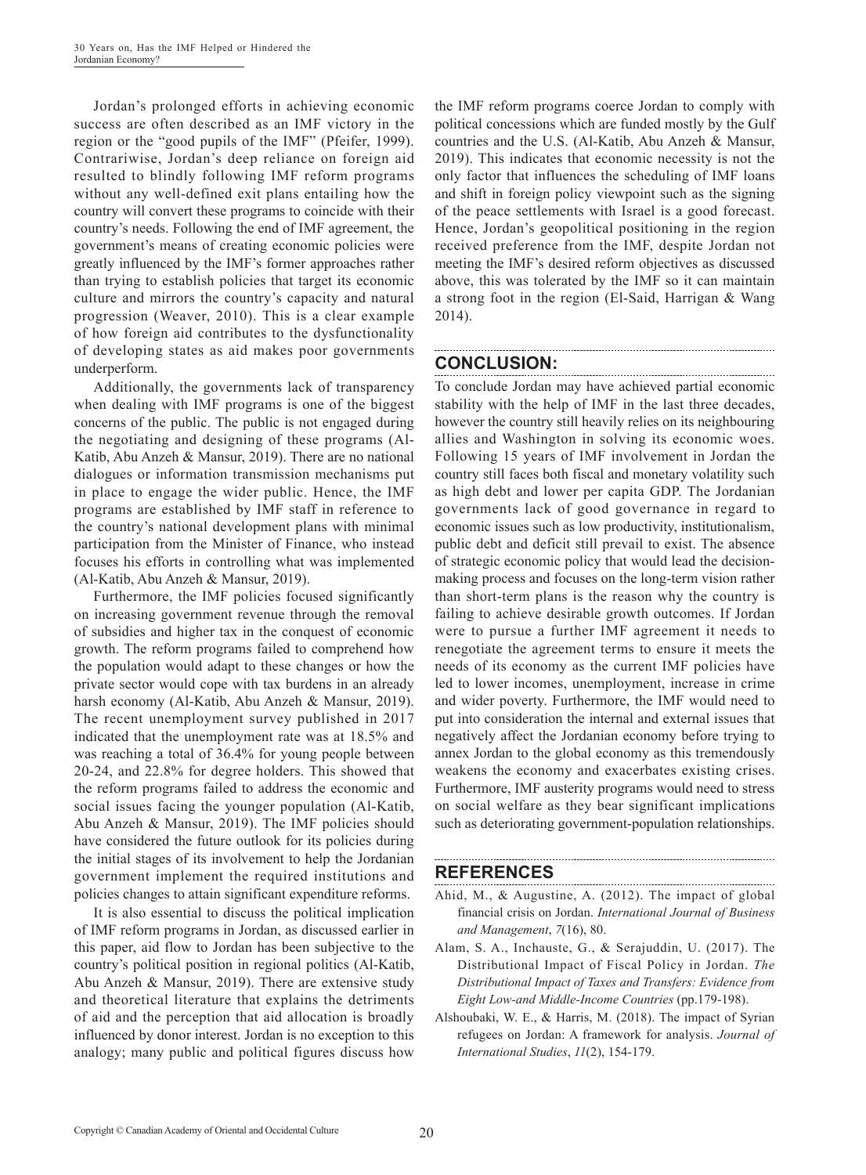Jordan's prolonged efforts in achieving economic success are often described as an IMF victory in the region or the "good pupils of the IMF" (Pfeifer, 1999). Contrariwise, Jordan's deep reliance on foreign aid resulted to blindly following IMF reform programs without any well-defined exit plans entailing how the country will convert these programs to coincide with their country's needs. Following the end of IMF agreement, the government's means of creating economic policies were greatly influenced by the IMF's former approaches rather than trying to establish policies that target its economic culture and mirrors the country's capacity and natural progression (Weaver, 2010). This is a clear example of how foreign aid contributes to the dysfunctionality of developing states as aid makes poor governments underperform.

Additionally, the governments lack of transparency when dealing with IMF programs is one of the biggest concerns of the public. The public is not engaged during the negotiating and designing of these programs (Al-Katib, Abu Anzeh & Mansur, 2019). There are no national dialogues or information transmission mechanisms put in place to engage the wider public. Hence, the IMF programs are established by IMF staff in reference to the country's national development plans with minimal participation from the Minister of Finance, who instead focuses his efforts in controlling what was implemented (Al-Katib, Abu Anzeh & Mansur, 2019).

Furthermore, the IMF policies focused significantly on increasing government revenue through the removal of subsidies and higher tax in the conquest of economic growth. The reform programs failed to comprehend how the population would adapt to these changes or how the private sector would cope with tax burdens in an already harsh economy (Al-Katib, Abu Anzeh & Mansur, 2019). The recent unemployment survey published in 2017 indicated that the unemployment rate was at 18.5% and was reaching a total of 36.4% for young people between 20-24, and 22.8% for degree holders. This showed that the reform programs failed to address the economic and social issues facing the younger population (Al-Katib, Abu Anzeh & Mansur, 2019). The IMF policies should have considered the future outlook for its policies during the initial stages of its involvement to help the Jordanian government implement the required institutions and policies changes to attain significant expenditure reforms.

It is also essential to discuss the political implication of IMF reform programs in Jordan, as discussed earlier in this paper, aid flow to Jordan has been subjective to the country's political position in regional politics (Al-Katib, Abu Anzeh & Mansur, 2019). There are extensive study and theoretical literature that explains the detriments of aid and the perception that aid allocation is broadly influenced by donor interest. Jordan is no exception to this analogy; many public and political figures discuss how the IMF reform programs coerce Jordan to comply with political concessions which are funded mostly by the Gulf countries and the U.S. (Al-Katib, Abu Anzeh & Mansur, 2019). This indicates that economic necessity is not the only factor that influences the scheduling of IMF loans and shift in foreign policy viewpoint such as the signing of the peace settlements with Israel is a good forecast. Hence, Jordan's geopolitical positioning in the region received preference from the IMF, despite Jordan not meeting the IMF's desired reform objectives as discussed above, this was tolerated by the IMF so it can maintain a strong foot in the region (El-Said, Harrigan & Wang 2014).

#### **CONCLUSION:**

To conclude Jordan may have achieved partial economic stability with the help of IMF in the last three decades, however the country still heavily relies on its neighbouring allies and Washington in solving its economic woes. Following 15 years of IMF involvement in Jordan the country still faces both fiscal and monetary volatility such as high debt and lower per capita GDP. The Jordanian governments lack of good governance in regard to economic issues such as low productivity, institutionalism, public debt and deficit still prevail to exist. The absence of strategic economic policy that would lead the decisionmaking process and focuses on the long-term vision rather than short-term plans is the reason why the country is failing to achieve desirable growth outcomes. If Jordan were to pursue a further IMF agreement it needs to renegotiate the agreement terms to ensure it meets the needs of its economy as the current IMF policies have led to lower incomes, unemployment, increase in crime and wider poverty. Furthermore, the IMF would need to put into consideration the internal and external issues that negatively affect the Jordanian economy before trying to annex Jordan to the global economy as this tremendously weakens the economy and exacerbates existing crises. Furthermore, IMF austerity programs would need to stress on social welfare as they bear significant implications such as deteriorating government-population relationships.

#### **REFERENCES**

Ahid, M., & Augustine, A. (2012). The impact of global financial crisis on Jordan. *International Journal of Business and Management*, *7*(16), 80.

- Alam, S. A., Inchauste, G., & Serajuddin, U. (2017). The Distributional Impact of Fiscal Policy in Jordan. *The Distributional Impact of Taxes and Transfers: Evidence from Eight Low-and Middle-Income Countries* (pp.179-198).
- Alshoubaki, W. E., & Harris, M. (2018). The impact of Syrian refugees on Jordan: A framework for analysis. *Journal of International Studies*, *11*(2), 154-179.